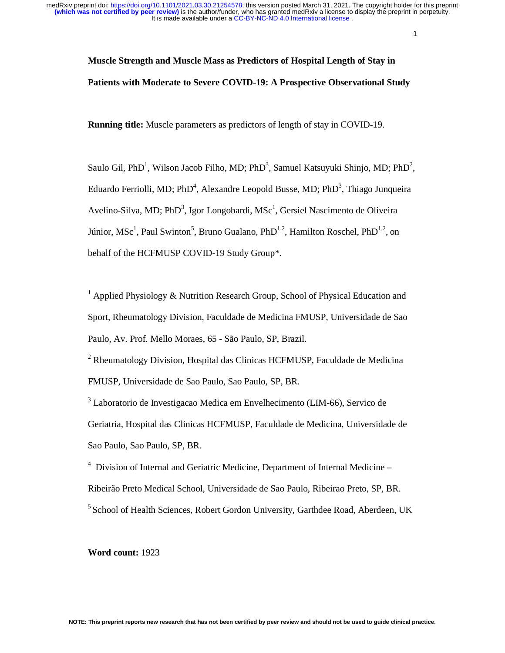> $\mathbf{1}$ 1

# **Muscle Strength and Muscle Mass as Predictors of Hospital Length of Stay in Patients with Moderate to Severe COVID-19: A Prospective Observational Study**

**Running title:** Muscle parameters as predictors of length of stay in COVID-19.

Saulo Gil, PhD<sup>1</sup>, Wilson Jacob Filho, MD; PhD<sup>3</sup>, Samuel Katsuyuki Shinjo, MD; PhD<sup>2</sup>, Eduardo Ferriolli, MD; PhD<sup>4</sup>, Alexandre Leopold Busse, MD; PhD<sup>3</sup>, Thiago Junqueira Avelino-Silva, MD; PhD<sup>3</sup>, Igor Longobardi, MSc<sup>1</sup>, Gersiel Nascimento de Oliveira Júnior, MSc<sup>1</sup>, Paul Swinton<sup>5</sup>, Bruno Gualano, PhD<sup>1,2</sup>, Hamilton Roschel, PhD<sup>1,2</sup>, on behalf of the HCFMUSP COVID-19 Study Group\*.

<sup>1</sup> Applied Physiology & Nutrition Research Group, School of Physical Education and Sport, Rheumatology Division, Faculdade de Medicina FMUSP, Universidade de Sao Paulo, Av. Prof. Mello Moraes, 65 - São Paulo, SP, Brazil.

<sup>2</sup> Rheumatology Division, Hospital das Clinicas HCFMUSP, Faculdade de Medicina FMUSP, Universidade de Sao Paulo, Sao Paulo, SP, BR.

<sup>3</sup> Laboratorio de Investigacao Medica em Envelhecimento (LIM-66), Servico de Geriatria, Hospital das Clinicas HCFMUSP, Faculdade de Medicina, Universidade de Sao Paulo, Sao Paulo, SP, BR.

<sup>4</sup> Division of Internal and Geriatric Medicine, Department of Internal Medicine -Ribeirão Preto Medical School, Universidade de Sao Paulo, Ribeirao Preto, SP, BR. <sup>5</sup> School of Health Sciences, Robert Gordon University, Garthdee Road, Aberdeen, UK

**Word count:** 1923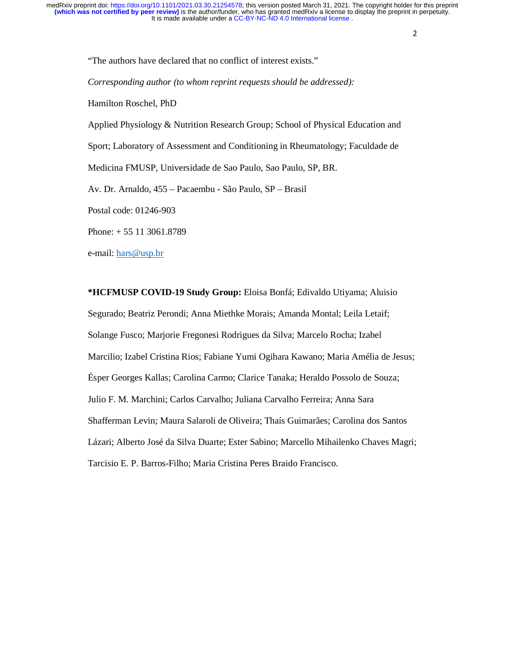"The authors have declared that no conflict of interest exists." *Corresponding author (to whom reprint requests should be addressed):*  Hamilton Roschel, PhD Applied Physiology & Nutrition Research Group; School of Physical Education and Sport; Laboratory of Assessment and Conditioning in Rheumatology; Faculdade de Medicina FMUSP, Universidade de Sao Paulo, Sao Paulo, SP, BR. Av. Dr. Arnaldo, 455 – Pacaembu - São Paulo, SP – Brasil Postal code: 01246-903 Phone: + 55 11 3061.8789 e-mail: hars@usp.br

**\*HCFMUSP COVID-19 Study Group:** Eloisa Bonfá; Edivaldo Utiyama; Aluisio Segurado; Beatriz Perondi; Anna Miethke Morais; Amanda Montal; Leila Letaif; Solange Fusco; Marjorie Fregonesi Rodrigues da Silva; Marcelo Rocha; Izabel Marcilio; Izabel Cristina Rios; Fabiane Yumi Ogihara Kawano; Maria Amélia de Jesus; Ésper Georges Kallas; Carolina Carmo; Clarice Tanaka; Heraldo Possolo de Souza; Julio F. M. Marchini; Carlos Carvalho; Juliana Carvalho Ferreira; Anna Sara Shafferman Levin; Maura Salaroli de Oliveira; Thaís Guimarães; Carolina dos Santos Lázari; Alberto José da Silva Duarte; Ester Sabino; Marcello Mihailenko Chaves Magri; Tarcisio E. P. Barros-Filho; Maria Cristina Peres Braido Francisco.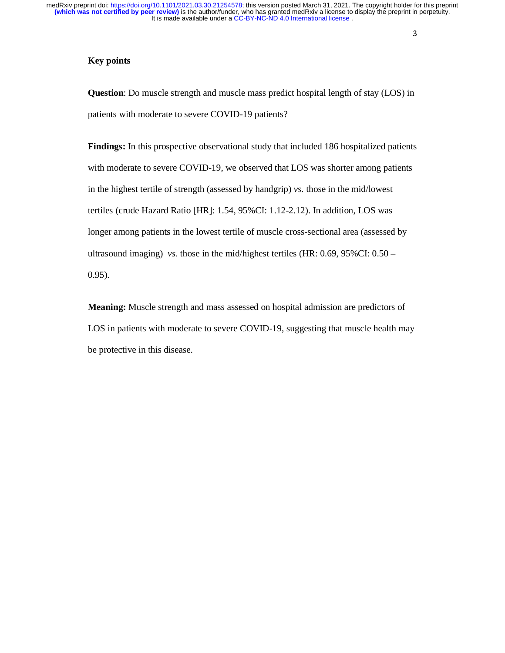## **Key points**

**Question**: Do muscle strength and muscle mass predict hospital length of stay (LOS) in patients with moderate to severe COVID-19 patients?

**Findings:** In this prospective observational study that included 186 hospitalized patients with moderate to severe COVID-19, we observed that LOS was shorter among patients in the highest tertile of strength (assessed by handgrip) *vs.* those in the mid/lowest tertiles (crude Hazard Ratio [HR]: 1.54, 95%CI: 1.12-2.12). In addition, LOS was longer among patients in the lowest tertile of muscle cross-sectional area (assessed by ultrasound imaging) *vs.* those in the mid/highest tertiles (HR: 0.69, 95%CI: 0.50 – 0.95).

**Meaning:** Muscle strength and mass assessed on hospital admission are predictors of LOS in patients with moderate to severe COVID-19, suggesting that muscle health may be protective in this disease.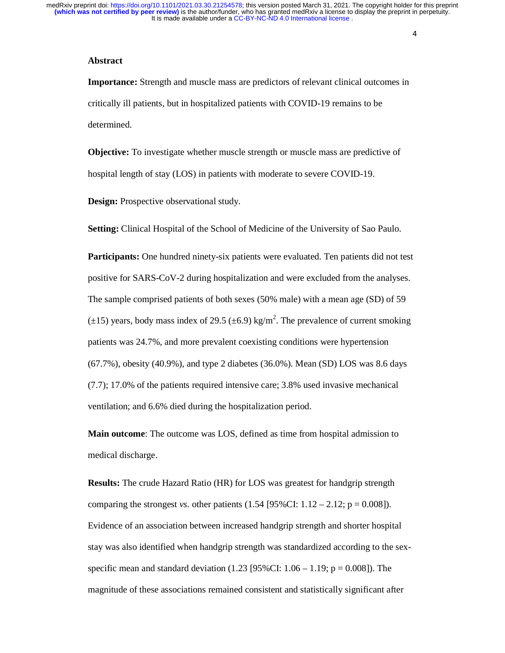#### **Abstract**

**Importance:** Strength and muscle mass are predictors of relevant clinical outcomes in critically ill patients, but in hospitalized patients with COVID-19 remains to be determined.

**Objective:** To investigate whether muscle strength or muscle mass are predictive of hospital length of stay (LOS) in patients with moderate to severe COVID-19.

**Design:** Prospective observational study.

**Setting:** Clinical Hospital of the School of Medicine of the University of Sao Paulo.

**Participants:** One hundred ninety-six patients were evaluated. Ten patients did not test positive for SARS-CoV-2 during hospitalization and were excluded from the analyses. The sample comprised patients of both sexes (50% male) with a mean age (SD) of 59 ( $\pm$ 15) years, body mass index of 29.5 ( $\pm$ 6.9) kg/m<sup>2</sup>. The prevalence of current smoking patients was 24.7%, and more prevalent coexisting conditions were hypertension (67.7%), obesity (40.9%), and type 2 diabetes (36.0%). Mean (SD) LOS was 8.6 days (7.7); 17.0% of the patients required intensive care; 3.8% used invasive mechanical ventilation; and 6.6% died during the hospitalization period.

**Main outcome**: The outcome was LOS, defined as time from hospital admission to medical discharge.

**Results:** The crude Hazard Ratio (HR) for LOS was greatest for handgrip strength comparing the strongest *vs.* other patients  $(1.54 \, [95\%CI: 1.12 - 2.12; p = 0.008]$ . Evidence of an association between increased handgrip strength and shorter hospital stay was also identified when handgrip strength was standardized according to the sexspecific mean and standard deviation  $(1.23 \, [95\%CI: 1.06 - 1.19; p = 0.008])$ . The magnitude of these associations remained consistent and statistically significant after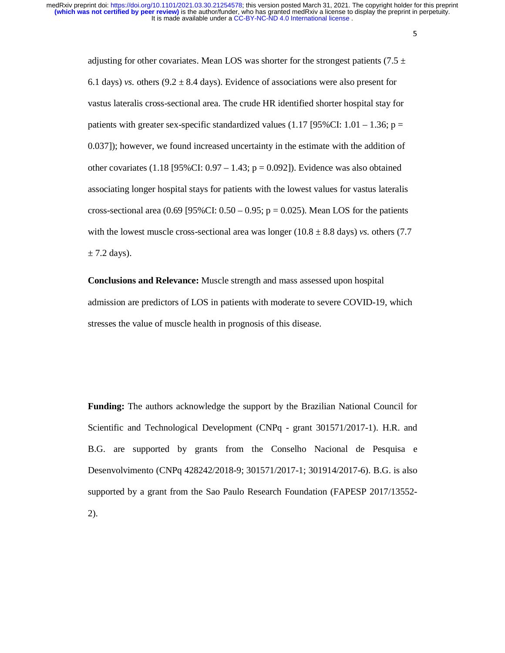> 5 5

adjusting for other covariates. Mean LOS was shorter for the strongest patients (7.5  $\pm$ 6.1 days) *vs.* others  $(9.2 \pm 8.4 \text{ days})$ . Evidence of associations were also present for vastus lateralis cross-sectional area. The crude HR identified shorter hospital stay for patients with greater sex-specific standardized values (1.17 [95%CI:  $1.01 - 1.36$ ; p = 0.037]); however, we found increased uncertainty in the estimate with the addition of other covariates  $(1.18 \, [95\%CI: 0.97 - 1.43; p = 0.092])$ . Evidence was also obtained associating longer hospital stays for patients with the lowest values for vastus lateralis cross-sectional area (0.69 [95%CI:  $0.50 - 0.95$ ; p = 0.025). Mean LOS for the patients with the lowest muscle cross-sectional area was longer  $(10.8 \pm 8.8 \text{ days})$  *vs.* others (7.7)  $\pm$  7.2 days).

**Conclusions and Relevance:** Muscle strength and mass assessed upon hospital admission are predictors of LOS in patients with moderate to severe COVID-19, which stresses the value of muscle health in prognosis of this disease.

**Funding:** The authors acknowledge the support by the Brazilian National Council for Scientific and Technological Development (CNPq - grant 301571/2017-1). H.R. and B.G. are supported by grants from the Conselho Nacional de Pesquisa e Desenvolvimento (CNPq 428242/2018-9; 301571/2017-1; 301914/2017-6). B.G. is also supported by a grant from the Sao Paulo Research Foundation (FAPESP 2017/13552- 2).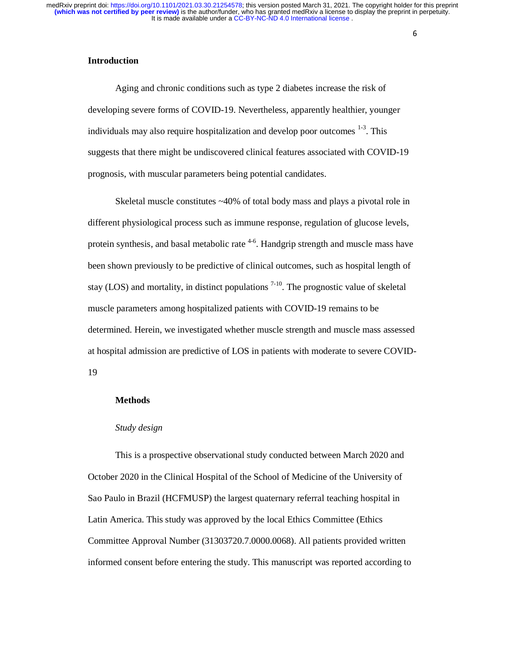# **Introduction**

Aging and chronic conditions such as type 2 diabetes increase the risk of developing severe forms of COVID-19. Nevertheless, apparently healthier, younger individuals may also require hospitalization and develop poor outcomes  $1-3$ . This suggests that there might be undiscovered clinical features associated with COVID-19 prognosis, with muscular parameters being potential candidates.

Skeletal muscle constitutes ~40% of total body mass and plays a pivotal role in different physiological process such as immune response, regulation of glucose levels, protein synthesis, and basal metabolic rate <sup>4-6</sup>. Handgrip strength and muscle mass have been shown previously to be predictive of clinical outcomes, such as hospital length of stay (LOS) and mortality, in distinct populations  $7-10$ . The prognostic value of skeletal muscle parameters among hospitalized patients with COVID-19 remains to be determined. Herein, we investigated whether muscle strength and muscle mass assessed at hospital admission are predictive of LOS in patients with moderate to severe COVID-19

#### **Methods**

#### *Study design*

This is a prospective observational study conducted between March 2020 and October 2020 in the Clinical Hospital of the School of Medicine of the University of Sao Paulo in Brazil (HCFMUSP) the largest quaternary referral teaching hospital in Latin America. This study was approved by the local Ethics Committee (Ethics Committee Approval Number (31303720.7.0000.0068). All patients provided written informed consent before entering the study. This manuscript was reported according to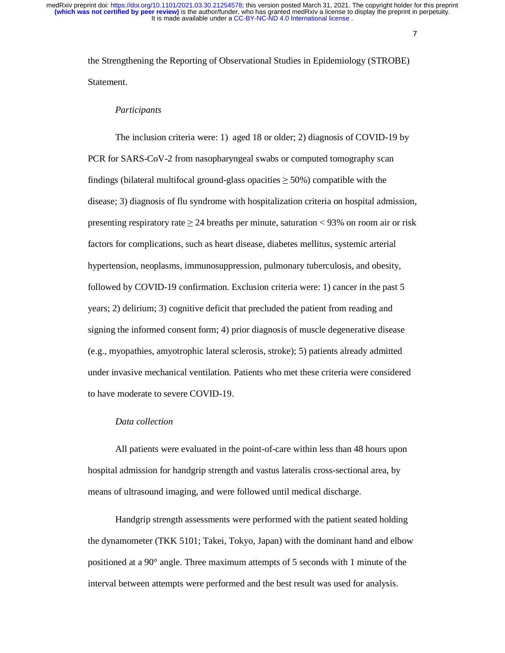7

the Strengthening the Reporting of Observational Studies in Epidemiology (STROBE) Statement.

## *Participants*

 The inclusion criteria were: 1) aged 18 or older; 2) diagnosis of COVID-19 by PCR for SARS-CoV-2 from nasopharyngeal swabs or computed tomography scan findings (bilateral multifocal ground-glass opacities  $\geq$  50%) compatible with the disease; 3) diagnosis of flu syndrome with hospitalization criteria on hospital admission, presenting respiratory rate  $\geq$  24 breaths per minute, saturation < 93% on room air or risk factors for complications, such as heart disease, diabetes mellitus, systemic arterial hypertension, neoplasms, immunosuppression, pulmonary tuberculosis, and obesity, followed by COVID-19 confirmation. Exclusion criteria were: 1) cancer in the past 5 years; 2) delirium; 3) cognitive deficit that precluded the patient from reading and signing the informed consent form; 4) prior diagnosis of muscle degenerative disease (e.g., myopathies, amyotrophic lateral sclerosis, stroke); 5) patients already admitted under invasive mechanical ventilation. Patients who met these criteria were considered to have moderate to severe COVID-19.

#### *Data collection*

All patients were evaluated in the point-of-care within less than 48 hours upon hospital admission for handgrip strength and vastus lateralis cross-sectional area, by means of ultrasound imaging, and were followed until medical discharge.

Handgrip strength assessments were performed with the patient seated holding the dynamometer (TKK 5101; Takei, Tokyo, Japan) with the dominant hand and elbow positioned at a 90° angle. Three maximum attempts of 5 seconds with 1 minute of the interval between attempts were performed and the best result was used for analysis.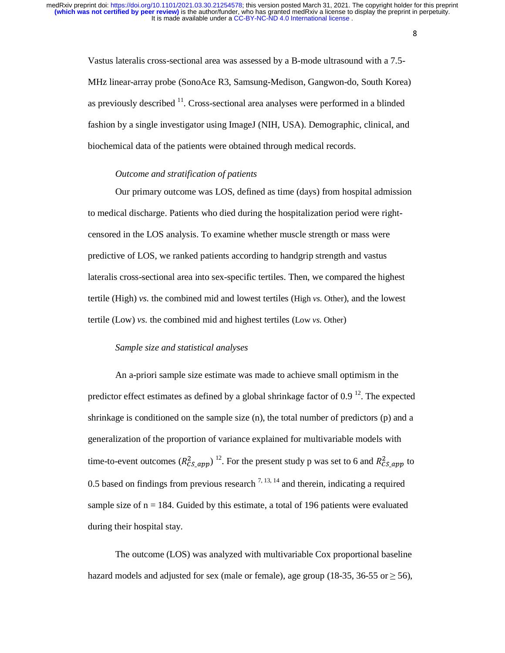> 8 8

Vastus lateralis cross-sectional area was assessed by a B-mode ultrasound with a 7.5- MHz linear-array probe (SonoAce R3, Samsung-Medison, Gangwon-do, South Korea) as previously described  $<sup>11</sup>$ . Cross-sectional area analyses were performed in a blinded</sup> fashion by a single investigator using ImageJ (NIH, USA). Demographic, clinical, and biochemical data of the patients were obtained through medical records.

## *Outcome and stratification of patients*

Our primary outcome was LOS, defined as time (days) from hospital admission to medical discharge. Patients who died during the hospitalization period were rightcensored in the LOS analysis. To examine whether muscle strength or mass were predictive of LOS, we ranked patients according to handgrip strength and vastus lateralis cross-sectional area into sex-specific tertiles. Then, we compared the highest tertile (High) *vs.* the combined mid and lowest tertiles (High *vs.* Other), and the lowest tertile (Low) *vs.* the combined mid and highest tertiles (Low *vs.* Other)

## *Sample size and statistical analyses*

An a-priori sample size estimate was made to achieve small optimism in the predictor effect estimates as defined by a global shrinkage factor of  $0.9<sup>12</sup>$ . The expected shrinkage is conditioned on the sample size (n), the total number of predictors (p) and a generalization of the proportion of variance explained for multivariable models with time-to-event outcomes  $(R_{CS\_app}^2)^{-12}$ . For the present study p was set to 6 and  $R_{CS\_app}^2$  to 0.5 based on findings from previous research  $^{7,13,14}$  and therein, indicating a required sample size of  $n = 184$ . Guided by this estimate, a total of 196 patients were evaluated during their hospital stay.

The outcome (LOS) was analyzed with multivariable Cox proportional baseline hazard models and adjusted for sex (male or female), age group (18-35, 36-55 or  $\geq$  56),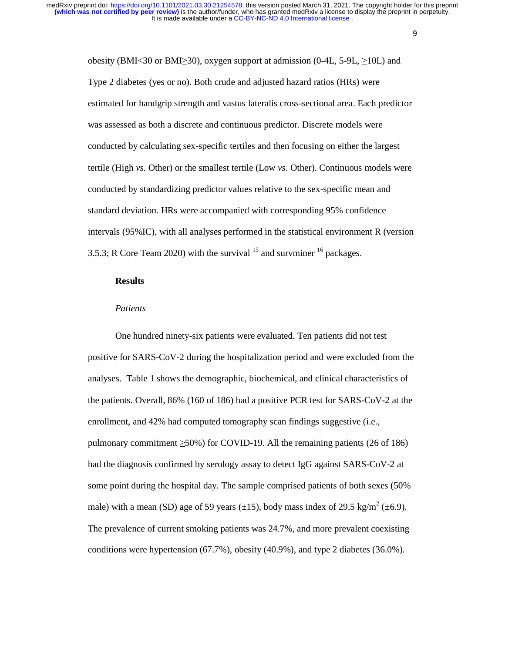> 9 9

obesity (BMI<30 or BMI≥30), oxygen support at admission (0-4L, 5-9L,  $\geq$ 10L) and Type 2 diabetes (yes or no). Both crude and adjusted hazard ratios (HRs) were estimated for handgrip strength and vastus lateralis cross-sectional area. Each predictor was assessed as both a discrete and continuous predictor. Discrete models were conducted by calculating sex-specific tertiles and then focusing on either the largest tertile (High *vs.* Other) or the smallest tertile (Low *vs.* Other). Continuous models were conducted by standardizing predictor values relative to the sex-specific mean and standard deviation. HRs were accompanied with corresponding 95% confidence intervals (95%IC), with all analyses performed in the statistical environment R (version 3.5.3; R Core Team 2020) with the survival  $^{15}$  and survminer  $^{16}$  packages.

## **Results**

## *Patients*

One hundred ninety-six patients were evaluated. Ten patients did not test positive for SARS-CoV-2 during the hospitalization period and were excluded from the analyses. Table 1 shows the demographic, biochemical, and clinical characteristics of the patients. Overall, 86% (160 of 186) had a positive PCR test for SARS-CoV-2 at the enrollment, and 42% had computed tomography scan findings suggestive (i.e., pulmonary commitment  $\geq 50\%$ ) for COVID-19. All the remaining patients (26 of 186) had the diagnosis confirmed by serology assay to detect IgG against SARS-CoV-2 at some point during the hospital day. The sample comprised patients of both sexes (50% male) with a mean (SD) age of 59 years ( $\pm$ 15), body mass index of 29.5 kg/m<sup>2</sup> ( $\pm$ 6.9). The prevalence of current smoking patients was 24.7%, and more prevalent coexisting conditions were hypertension (67.7%), obesity (40.9%), and type 2 diabetes (36.0%).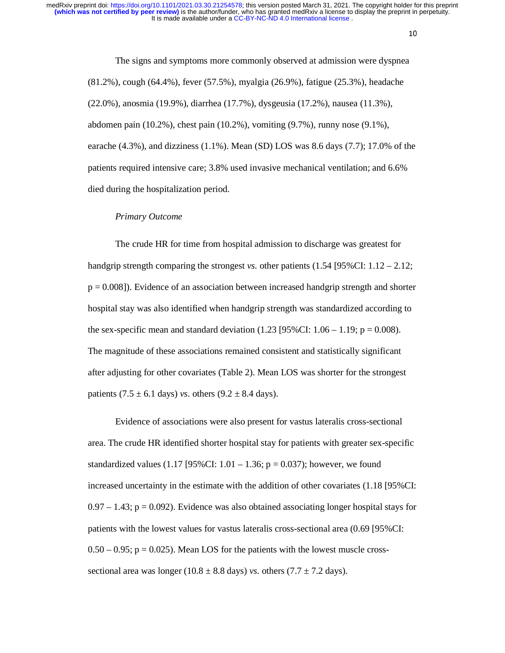10

The signs and symptoms more commonly observed at admission were dyspnea (81.2%), cough (64.4%), fever (57.5%), myalgia (26.9%), fatigue (25.3%), headache (22.0%), anosmia (19.9%), diarrhea (17.7%), dysgeusia (17.2%), nausea (11.3%), abdomen pain (10.2%), chest pain (10.2%), vomiting (9.7%), runny nose (9.1%), earache  $(4.3\%)$ , and dizziness  $(1.1\%)$ . Mean  $(SD)$  LOS was 8.6 days  $(7.7)$ ; 17.0% of the patients required intensive care; 3.8% used invasive mechanical ventilation; and 6.6% died during the hospitalization period.

#### *Primary Outcome*

The crude HR for time from hospital admission to discharge was greatest for handgrip strength comparing the strongest *vs*. other patients  $(1.54 \, [95\% CI: 1.12 - 2.12;$  $p = 0.008$ ]). Evidence of an association between increased handgrip strength and shorter hospital stay was also identified when handgrip strength was standardized according to the sex-specific mean and standard deviation  $(1.23 \, [95\% CI: 1.06 - 1.19; p = 0.008)$ . The magnitude of these associations remained consistent and statistically significant after adjusting for other covariates (Table 2). Mean LOS was shorter for the strongest patients  $(7.5 \pm 6.1$  days) *vs.* others  $(9.2 \pm 8.4$  days).

Evidence of associations were also present for vastus lateralis cross-sectional area. The crude HR identified shorter hospital stay for patients with greater sex-specific standardized values (1.17 [95%CI:  $1.01 - 1.36$ ; p = 0.037); however, we found increased uncertainty in the estimate with the addition of other covariates (1.18 [95%CI:  $0.97 - 1.43$ ;  $p = 0.092$ ). Evidence was also obtained associating longer hospital stays for patients with the lowest values for vastus lateralis cross-sectional area (0.69 [95%CI:  $0.50 - 0.95$ ;  $p = 0.025$ ). Mean LOS for the patients with the lowest muscle crosssectional area was longer ( $10.8 \pm 8.8$  days) *vs.* others ( $7.7 \pm 7.2$  days).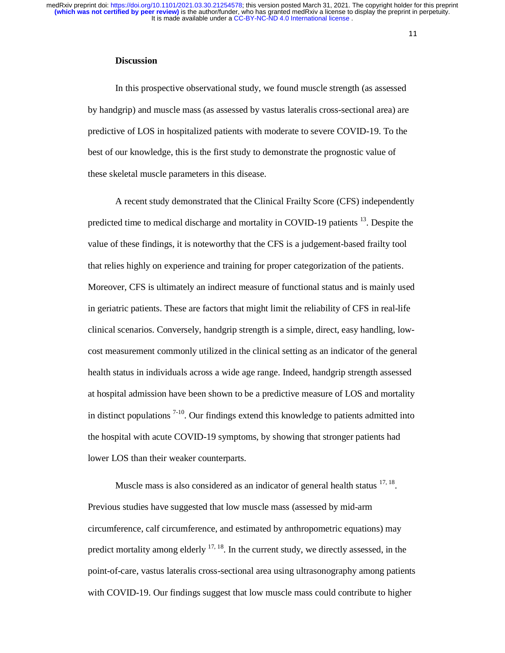#### **Discussion**

In this prospective observational study, we found muscle strength (as assessed by handgrip) and muscle mass (as assessed by vastus lateralis cross-sectional area) are predictive of LOS in hospitalized patients with moderate to severe COVID-19. To the best of our knowledge, this is the first study to demonstrate the prognostic value of these skeletal muscle parameters in this disease.

A recent study demonstrated that the Clinical Frailty Score (CFS) independently predicted time to medical discharge and mortality in COVID-19 patients  $^{13}$ . Despite the value of these findings, it is noteworthy that the CFS is a judgement-based frailty tool that relies highly on experience and training for proper categorization of the patients. Moreover, CFS is ultimately an indirect measure of functional status and is mainly used in geriatric patients. These are factors that might limit the reliability of CFS in real-life clinical scenarios. Conversely, handgrip strength is a simple, direct, easy handling, lowcost measurement commonly utilized in the clinical setting as an indicator of the general health status in individuals across a wide age range. Indeed, handgrip strength assessed at hospital admission have been shown to be a predictive measure of LOS and mortality in distinct populations  $7-10$ . Our findings extend this knowledge to patients admitted into the hospital with acute COVID-19 symptoms, by showing that stronger patients had lower LOS than their weaker counterparts.

Muscle mass is also considered as an indicator of general health status  $17, 18$ . Previous studies have suggested that low muscle mass (assessed by mid-arm circumference, calf circumference, and estimated by anthropometric equations) may predict mortality among elderly  $17, 18$ . In the current study, we directly assessed, in the point-of-care, vastus lateralis cross-sectional area using ultrasonography among patients with COVID-19. Our findings suggest that low muscle mass could contribute to higher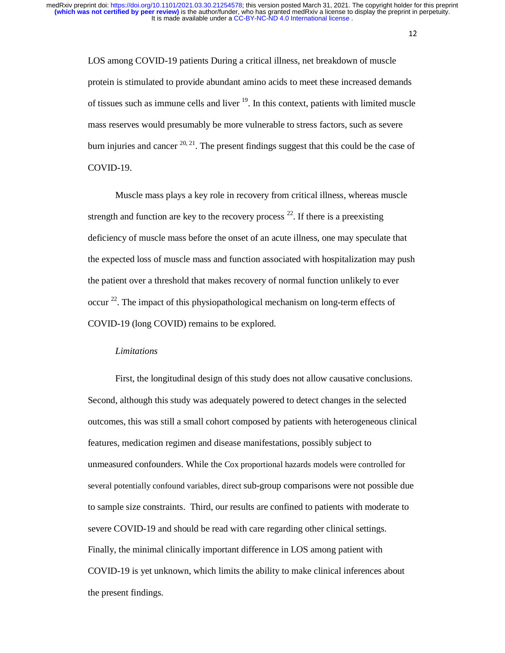12

LOS among COVID-19 patients During a critical illness, net breakdown of muscle protein is stimulated to provide abundant amino acids to meet these increased demands of tissues such as immune cells and liver  $19$ . In this context, patients with limited muscle mass reserves would presumably be more vulnerable to stress factors, such as severe burn injuries and cancer  $20, 21$ . The present findings suggest that this could be the case of COVID-19.

Muscle mass plays a key role in recovery from critical illness, whereas muscle strength and function are key to the recovery process  $^{22}$ . If there is a preexisting deficiency of muscle mass before the onset of an acute illness, one may speculate that the expected loss of muscle mass and function associated with hospitalization may push the patient over a threshold that makes recovery of normal function unlikely to ever occur<sup>22</sup>. The impact of this physiopathological mechanism on long-term effects of COVID-19 (long COVID) remains to be explored.

## *Limitations*

First, the longitudinal design of this study does not allow causative conclusions. Second, although this study was adequately powered to detect changes in the selected outcomes, this was still a small cohort composed by patients with heterogeneous clinical features, medication regimen and disease manifestations, possibly subject to unmeasured confounders. While the Cox proportional hazards models were controlled for several potentially confound variables, direct sub-group comparisons were not possible due to sample size constraints. Third, our results are confined to patients with moderate to severe COVID-19 and should be read with care regarding other clinical settings. Finally, the minimal clinically important difference in LOS among patient with COVID-19 is yet unknown, which limits the ability to make clinical inferences about the present findings.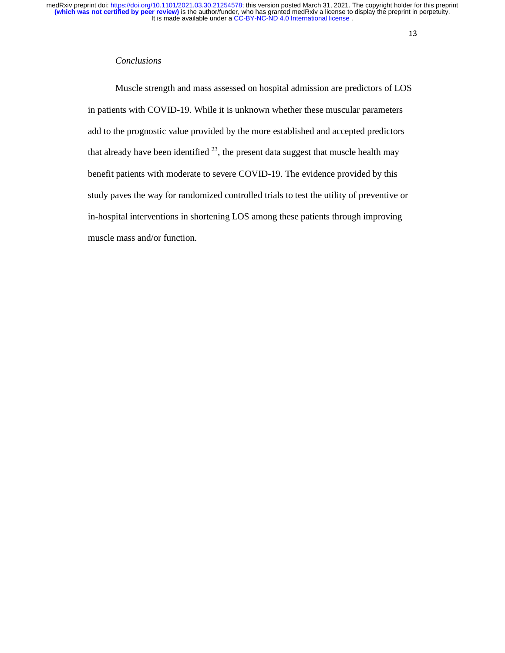# *Conclusions*

Muscle strength and mass assessed on hospital admission are predictors of LOS in patients with COVID-19. While it is unknown whether these muscular parameters add to the prognostic value provided by the more established and accepted predictors that already have been identified  $^{23}$ , the present data suggest that muscle health may benefit patients with moderate to severe COVID-19. The evidence provided by this study paves the way for randomized controlled trials to test the utility of preventive or in-hospital interventions in shortening LOS among these patients through improving muscle mass and/or function.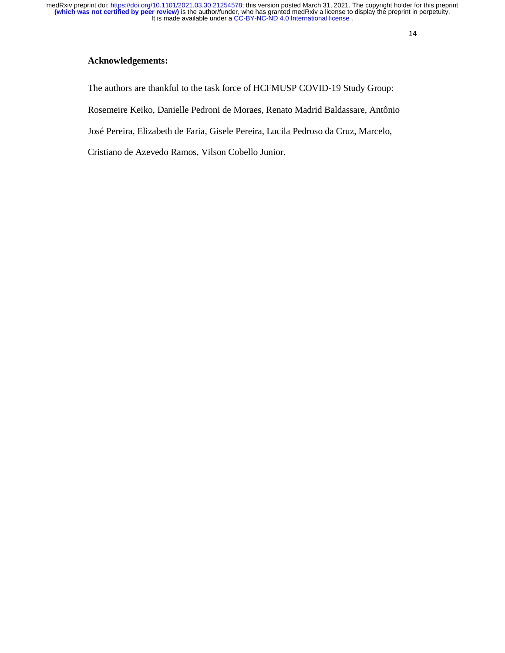# **Acknowledgements:**

The authors are thankful to the task force of HCFMUSP COVID-19 Study Group:

Rosemeire Keiko, Danielle Pedroni de Moraes, Renato Madrid Baldassare, Antônio

José Pereira, Elizabeth de Faria, Gisele Pereira, Lucila Pedroso da Cruz, Marcelo,

Cristiano de Azevedo Ramos, Vilson Cobello Junior.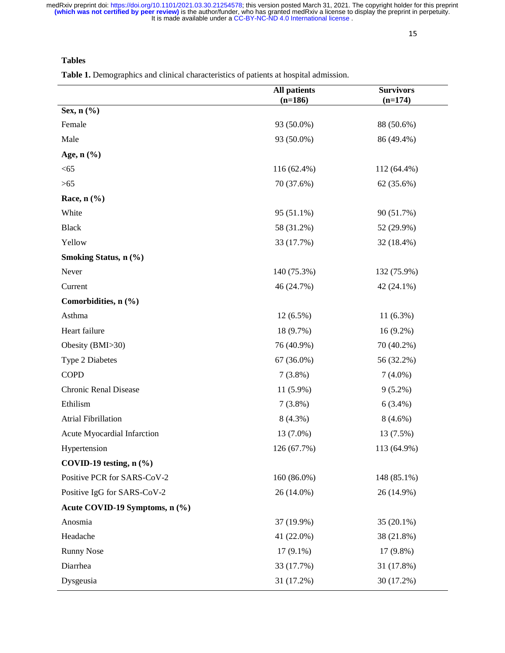**Tables**

**Table 1.** Demographics and clinical characteristics of patients at hospital admission.

|                                | <b>All patients</b><br>$(n=186)$ | <b>Survivors</b><br>$(n=174)$ |  |
|--------------------------------|----------------------------------|-------------------------------|--|
| Sex, n (%)                     |                                  |                               |  |
| Female                         | 93 (50.0%)                       | 88 (50.6%)                    |  |
| Male                           | 93 (50.0%)                       | 86 (49.4%)                    |  |
| Age, $n$ $(\frac{6}{6})$       |                                  |                               |  |
| < 65                           | 116 (62.4%)                      | 112 (64.4%)                   |  |
| $>65$                          | 70 (37.6%)                       | 62 (35.6%)                    |  |
| Race, $n$ $(\frac{9}{6})$      |                                  |                               |  |
| White                          | 95 (51.1%)                       | 90 (51.7%)                    |  |
| <b>Black</b>                   | 58 (31.2%)                       | 52 (29.9%)                    |  |
| Yellow                         | 33 (17.7%)                       | 32 (18.4%)                    |  |
| Smoking Status, n (%)          |                                  |                               |  |
| Never                          | 140 (75.3%)                      | 132 (75.9%)                   |  |
| Current                        | 46 (24.7%)                       | $42(24.1\%)$                  |  |
| Comorbidities, n (%)           |                                  |                               |  |
| Asthma                         | $12(6.5\%)$                      | $11(6.3\%)$                   |  |
| Heart failure                  | 18 (9.7%)                        | $16(9.2\%)$                   |  |
| Obesity (BMI>30)               | 76 (40.9%)                       | 70 (40.2%)                    |  |
| Type 2 Diabetes                | 67 (36.0%)                       | 56 (32.2%)                    |  |
| <b>COPD</b>                    | 7(3.8%)                          | $7(4.0\%)$                    |  |
| <b>Chronic Renal Disease</b>   | 11 (5.9%)                        | $9(5.2\%)$                    |  |
| Ethilism                       | $7(3.8\%)$                       | $6(3.4\%)$                    |  |
| <b>Atrial Fibrillation</b>     | $8(4.3\%)$                       | $8(4.6\%)$                    |  |
| Acute Myocardial Infarction    | 13 (7.0%)                        | 13 (7.5%)                     |  |
| Hypertension                   | 126 (67.7%)                      | 113 (64.9%)                   |  |
| COVID-19 testing, $n$ $(\% )$  |                                  |                               |  |
| Positive PCR for SARS-CoV-2    | 160 (86.0%)                      | 148 (85.1%)                   |  |
| Positive IgG for SARS-CoV-2    | 26 (14.0%)                       | 26 (14.9%)                    |  |
| Acute COVID-19 Symptoms, n (%) |                                  |                               |  |
| Anosmia                        | 37 (19.9%)                       | $35(20.1\%)$                  |  |
| Headache                       | 41 (22.0%)                       | 38 (21.8%)                    |  |
| <b>Runny Nose</b>              | $17(9.1\%)$                      | 17 (9.8%)                     |  |
| Diarrhea                       | 33 (17.7%)                       | 31 (17.8%)                    |  |
| Dysgeusia                      | 31 (17.2%)                       | 30 (17.2%)                    |  |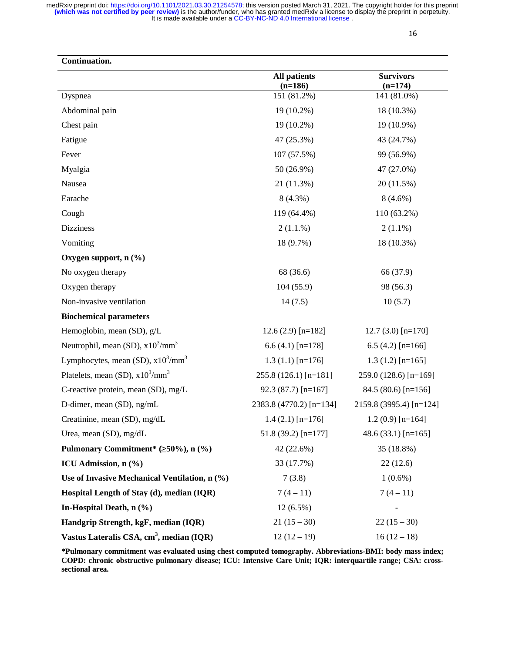| Continuation.                                        |                                  |                               |
|------------------------------------------------------|----------------------------------|-------------------------------|
|                                                      | <b>All patients</b><br>$(n=186)$ | <b>Survivors</b><br>$(n=174)$ |
| Dyspnea                                              | 151 (81.2%)                      | 141 (81.0%)                   |
| Abdominal pain                                       | 19 (10.2%)<br>18 (10.3%)         |                               |
| Chest pain                                           | 19 (10.2%)                       | 19 (10.9%)                    |
| Fatigue                                              | 47 (25.3%)<br>43 (24.7%)         |                               |
| Fever                                                | 107 (57.5%)<br>99 (56.9%)        |                               |
| Myalgia                                              | 50 (26.9%)                       | 47 (27.0%)                    |
| Nausea                                               | 21 (11.3%)<br>20 (11.5%)         |                               |
| Earache                                              | 8(4.3%)                          | $8(4.6\%)$                    |
| Cough                                                | 119 (64.4%)                      | 110 (63.2%)                   |
| <b>Dizziness</b>                                     | 2(1.1.%)                         | $2(1.1\%)$                    |
| Vomiting                                             | 18 (9.7%)                        | 18 (10.3%)                    |
| Oxygen support, $n$ (%)                              |                                  |                               |
| No oxygen therapy                                    | 68 (36.6)                        | 66 (37.9)                     |
| Oxygen therapy                                       | 104(55.9)                        | 98 (56.3)                     |
| Non-invasive ventilation                             | 14(7.5)                          | 10(5.7)                       |
| <b>Biochemical parameters</b>                        |                                  |                               |
| Hemoglobin, mean (SD), g/L                           | $12.6(2.9)$ [n=182]              | $12.7(3.0)$ [n=170]           |
| Neutrophil, mean (SD), $x10^3/\text{mm}^3$           | $6.6(4.1)$ [n=178]               | $6.5(4.2)$ [n=166]            |
| Lymphocytes, mean (SD), $x10^3/\text{mm}^3$          | $1.3(1.1)$ [n=176]               | $1.3(1.2)$ [n=165]            |
| Platelets, mean (SD), $x10^3/\text{mm}^3$            | $255.8(126.1)$ [n=181]           | 259.0 (128.6) [n=169]         |
| C-reactive protein, mean (SD), mg/L                  | 92.3 (87.7) $[n=167]$            | 84.5 (80.6) [n=156]           |
| D-dimer, mean (SD), ng/mL                            | 2383.8 (4770.2) [n=134]          | 2159.8 (3995.4) [n=124]       |
| Creatinine, mean (SD), mg/dL                         | $1.4(2.1)$ [n=176]               | $1.2(0.9)$ [n=164]            |
| Urea, mean (SD), mg/dL                               | $51.8(39.2)$ [n=177]             | 48.6 (33.1) $[n=165]$         |
| Pulmonary Commitment* $(\geq 50\%), n (\%)$          | 42 (22.6%)                       | 35 (18.8%)                    |
| ICU Admission, n (%)                                 | 33 (17.7%)                       | 22(12.6)                      |
| Use of Invasive Mechanical Ventilation, n (%)        | 7(3.8)                           | $1(0.6\%)$                    |
| Hospital Length of Stay (d), median (IQR)            | $7(4-11)$                        | $7(4-11)$                     |
| In-Hospital Death, $n$ $(\%)$                        | $12(6.5\%)$                      |                               |
| Handgrip Strength, kgF, median (IQR)                 | $21(15-30)$                      | $22(15-30)$                   |
| Vastus Lateralis CSA, cm <sup>3</sup> , median (IQR) | $12(12-19)$                      | $16(12-18)$                   |

**\*Pulmonary commitment was evaluated using chest computed tomography. Abbreviations-BMI: body mass index; COPD: chronic obstructive pulmonary disease; ICU: Intensive Care Unit; IQR: interquartile range; CSA: crosssectional area.**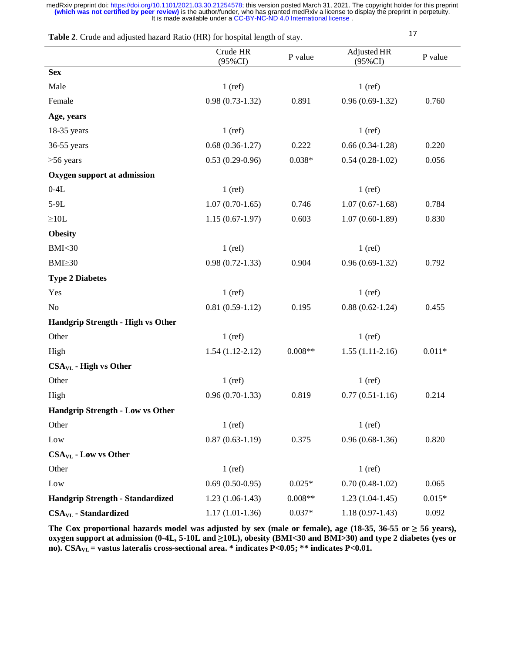| Table 2. Crude and adjusted hazard Ratio (HR) for hospital length of stay. |                        |           | 17                        |          |
|----------------------------------------------------------------------------|------------------------|-----------|---------------------------|----------|
|                                                                            | Crude HR<br>$(95\%CI)$ | P value   | Adjusted HR<br>$(95\%CI)$ | P value  |
| <b>Sex</b>                                                                 |                        |           |                           |          |
| Male                                                                       | $1$ (ref)              |           | $1$ (ref)                 |          |
| Female                                                                     | $0.98(0.73-1.32)$      | 0.891     | $0.96(0.69-1.32)$         | 0.760    |
| Age, years                                                                 |                        |           |                           |          |
| 18-35 years                                                                | $1$ (ref)              |           | $1$ (ref)                 |          |
| 36-55 years                                                                | $0.68(0.36-1.27)$      | 0.222     | $0.66(0.34-1.28)$         | 0.220    |
| $\geq 56$ years                                                            | $0.53(0.29-0.96)$      | $0.038*$  | $0.54(0.28-1.02)$         | 0.056    |
| Oxygen support at admission                                                |                        |           |                           |          |
| $0-4L$                                                                     | $1$ (ref)              |           | $1$ (ref)                 |          |
| 5-9L                                                                       | $1.07(0.70-1.65)$      | 0.746     | $1.07(0.67-1.68)$         | 0.784    |
| ${\geq}10L$                                                                | $1.15(0.67-1.97)$      | 0.603     | $1.07(0.60-1.89)$         | 0.830    |
| <b>Obesity</b>                                                             |                        |           |                           |          |
| <b>BMI&lt;30</b>                                                           | $1$ (ref)              |           | $1$ (ref)                 |          |
| $BMI \geq 30$                                                              | $0.98(0.72 - 1.33)$    | 0.904     | $0.96(0.69-1.32)$         | 0.792    |
| <b>Type 2 Diabetes</b>                                                     |                        |           |                           |          |
| Yes                                                                        | $1$ (ref)              |           | $1$ (ref)                 |          |
| No                                                                         | $0.81(0.59-1.12)$      | 0.195     | $0.88(0.62 - 1.24)$       | 0.455    |
| Handgrip Strength - High vs Other                                          |                        |           |                           |          |
| Other                                                                      | $1$ (ref)              |           | $1$ (ref)                 |          |
| High                                                                       | $1.54(1.12-2.12)$      | $0.008**$ | $1.55(1.11-2.16)$         | $0.011*$ |
| <b>CSA<sub>VL</sub></b> - High vs Other                                    |                        |           |                           |          |
| Other                                                                      | $1$ (ref)              |           | $1$ (ref)                 |          |
| High                                                                       | $0.96(0.70-1.33)$      | 0.819     | $0.77(0.51-1.16)$         | 0.214    |
| <b>Handgrip Strength - Low vs Other</b>                                    |                        |           |                           |          |
| Other                                                                      | $1$ (ref)              |           | $1$ (ref)                 |          |
| Low                                                                        | $0.87(0.63-1.19)$      | 0.375     | $0.96(0.68-1.36)$         | 0.820    |
| $CSA_{VL}$ - Low vs Other                                                  |                        |           |                           |          |
| Other                                                                      | $1$ (ref)              |           | $1$ (ref)                 |          |
| Low                                                                        | $0.69(0.50-0.95)$      | $0.025*$  | $0.70(0.48-1.02)$         | 0.065    |
| <b>Handgrip Strength - Standardized</b>                                    | $1.23(1.06-1.43)$      | $0.008**$ | $1.23(1.04-1.45)$         | $0.015*$ |
| $CSA_{VL}$ - Standardized                                                  | $1.17(1.01-1.36)$      | $0.037*$  | $1.18(0.97-1.43)$         | 0.092    |

The Cox proportional hazards model was adjusted by sex (male or female), age (18-35, 36-55 or  $\geq$  56 years), **oxygen support at admission (0-4L, 5-10L and** ≥**10L), obesity (BMI<30 and BMI>30) and type 2 diabetes (yes or no). CSAVL = vastus lateralis cross-sectional area. \* indicates P<0.05; \*\* indicates P<0.01.**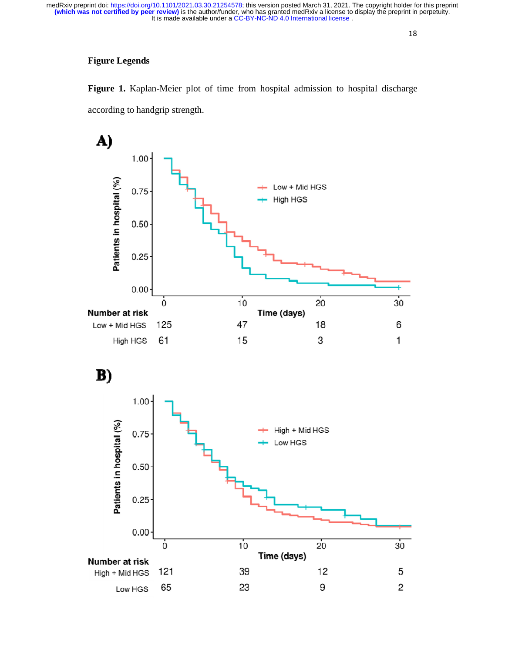# **Figure Legends**

**Figure 1.** Kaplan-Meier plot of time from hospital admission to hospital discharge according to handgrip strength.

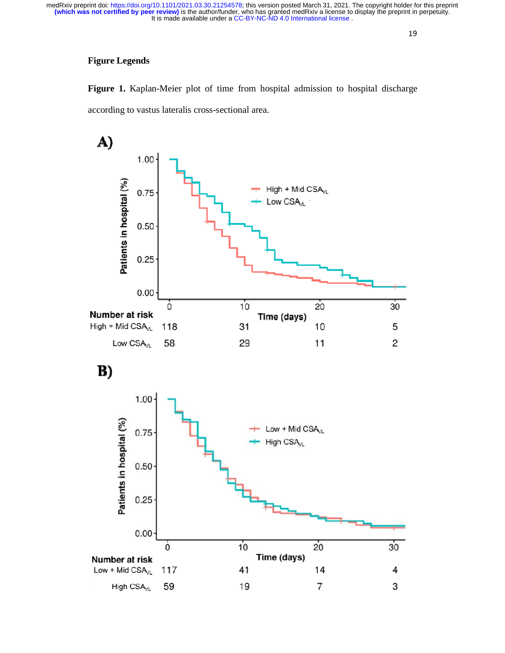# **Figure Legends**

**Figure 1.** Kaplan-Meier plot of time from hospital admission to hospital discharge according to vastus lateralis cross-sectional area.



B)

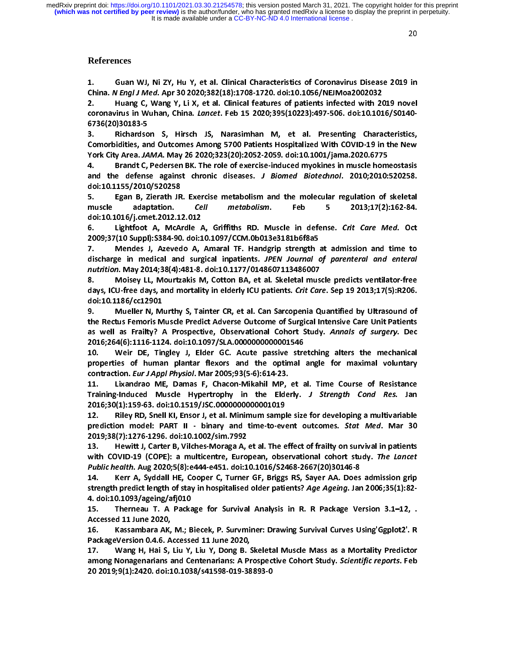It is made available under a [CC-BY-NC-ND 4.0 International license](http://creativecommons.org/licenses/by-nc-nd/4.0/) . **(which was not certified by peer review)** is the author/funder, who has granted medRxiv a license to display the preprint in perpetuity. medRxiv preprint doi: [https://doi.org/10.1101/2021.03.30.21254578;](https://doi.org/10.1101/2021.03.30.21254578) this version posted March 31, 2021. The copyright holder for this preprint

## **References**

China. N Engl J Med. Apr 30 2020;382(18):1708-1720. doi:10.1056/NEJMoa2002032<br>2. Huang C, Wang Y, Li X, et al. Clinical features of patients infected with 2019 novel<br>coronavirus in Wuhan, China. *Lancet*. Feb 15 2020;395(

China. N Engl J Med. Apr 30 2020;302(18):1708-1720. doi:10.1030/NEJMoa2002032<br>2. Huang C, Wang Y, Li X, et al. Clinical features of patients infected with 20<br>coronavirus in Wuhan, China. *Lancet*. Feb 15 2020;395(10223):49 2. Examples and Wuhan, China. *Lancet*. Feb 15 2020;395(10223):497-506. doi:10.1016/S0140-<br>2. Hichardson S, Hirsch JS, Narasimhan M, et al. Presenting Characteristics,<br>2. Richardson S, Hirsch JS, Narasimhan M, et al. Prese coronavirus in Wuhan, China. Lancet. Feb 15 2020,393(10223):497-500. doi:10.1010/30140-<br>6736(20)30183-5<br>3. Richardson S, Hirsch JS, Narasimhan M, et al. Presenting Characteristics,<br>Comorbidities, and Outcomes Among 5700 Pa 3. Richardso<br>Comorbidities, an<br>York City Area. JA<br>4. Brandt C,<br>and the defens<br>doi:10.1155/2010

Comorbidities, and Outcomes Among 5700 Patients Hospitalized With COVID-19 in the New<br>
York City Area. JAMA. May 26 2020;323(20):2052-2059. doi:10.1001/jama.2020.6775<br>
4. Brandt C, Pedersen BK. The role of exercise-induced Xork City Area. JAMA. May 26 2020;323(20):2052-2059. doi:10.1001/jama.2020.6775<br>
4. Brandt C, Pedersen BK. The role of exercise-induced myokines in muscle homeostasis<br>
and the defense against chronic diseases. J Biomed Bio York City Area. JAMA: May 26 2020;J253(20):2052-2055. doi:10.1001/jama.2020.6775<br>4. Brandt C, Pedersen BK. The role of exercise-induced myokines in muscle hom<br>and the defense against chronic diseases. J Biomed Biotechnol.

and the defense against chronic diseases. *J Biomed Biotechnol*. 2010;2010:520258.<br>doi:10.1155/2010/520258<br>5. Egan B, Zierath JR. Exercise metabolism and the molecular regulation of skeletal<br>muscle adaptation. *Cell metabo* doi:10.1155/2010/520258<br>
5. Egan B, Zierath JR. Exercise metabolism and the molecular regulation of skeletal<br>
muscle adaptation. Cell metabolism. Feb 5 2013;17(2):162-84.<br>
doi:10.1016/j.cmet.2012.12.012<br>
6. Lightfoot A, Mc 5. Egan B, Zierath JR<br>muscle adaptation.<br>doi:10.1016/j.cmet.2012.1<br>6. Lightfoot A, McA<br>2009;37(10 Suppl):S384-90<br>7. Mendes J, Azeved

muscle adaptation. Cell metabolism. Feb 5 2013;17(2):162-84.<br>doi:10.1016/j.cmet.2012.12.012<br>6. Lightfoot A, McArdle A, Griffiths RD. Muscle in defense. Crit Care Med. Oct<br>2009;37(10 Suppl):S384-90. doi:10.1097/CCM.0b013e31 muscle adaptation. Cent metabolism. Teb 5 2013,17(2):102-84.<br>doi:10.1016/j.cmet.2012.12.012<br>6. Lightfoot A, McArdle A, Griffiths RD. Muscle in defense. Crit Care Med. Oct<br>2009;37(10 Suppl):S384-90. doi:10.1097/CCM.0b013e31 6. Lightfoot A, McArdle  $\mu$ <br>2009;37(10 Suppl):S384-90. doi:1<br>7. Mendes J, Azevedo A,<br>discharge in medical and surg<br>nutrition. May 2014;38(4):481-8.<br>8. Moisey LL, Mourtzakis N 6. Lightfoot A, Wickhuie A, Griffiths RD. Muscle in defense. Crit Care Med. Oct<br>2009;37(10 Suppl):S384-90. doi:10.1097/CCM.0b013e3181b6f8a5<br>7. Mendes J, Azevedo A, Amaral TF. Handgrip strength at admission and time to<br>disc

7. Mendes J, Azevedo A, Amaral TF. Handgrip strength<br>discharge in medical and surgical inpatients. *JPEN Journal contrition*. May 2014;38(4):481-8. doi:10.1177/0148607113486007<br>8. Moisey LL, Mourtzakis M, Cotton BA, et al discharge in medical and surgical inpatients. *JPEN Journal of parenteral and enteral*<br>
nutrition. May 2014;38(4):481-8. doi:10.1177/0148607113486007<br>
8. Moisey LL, Mourtzakis M, Cotton BA, et al. Skeletal muscle predicts discharge in medical and surgical inpatients. *J. EN* Journal of parenteral and enteral<br>
nutrition. May 2014;38(4):481-8. doi:10.1177/0148607113486007<br>
8. Moisey LL, Mourtzakis M, Cotton BA, et al. Skeletal muscle predicts

marmon: May 2014,38(4):481-8. doi:10.1177/0148807113488007<br>8. Moisey LL, Mourtzakis M, Cotton BA, et al. Skeletal mus<br>days, ICU-free days, and mortality in elderly ICU patients. Crit Car<br>doi:10.1186/cc12901<br>9. Mueller N, M days, ICU-free days, and mortality in elderly ICU patients. Crit Care. Sep 19 2013;17(5):R206.<br>doi:10.1186/cc12901<br>9. Mueller N, Murthy S, Tainter CR, et al. Can Sarcopenia Quantified by Ultrasound of<br>the Rectus Femoris Mu doi:10.1186/cc12901<br>doi:10.1186/cc12901<br>9. Mueller N, Murthy S, Tainter CR, et al. Can Sarcopenia Quantified by Ultrasound of<br>the Rectus Femoris Muscle Predict Adverse Outcome of Surgical Intensive Care Unit Patients<br>as we 9. Mueller N, M<br>the Rectus Femoris M<br>as well as Frailty?<br>2016;264(6):1116-112<br>10. Weir DE, Tir<br>properties of huma the Rectus Femoris Muscle Predict Adverse Outcome of Surgical Intensive Care Unit Patients<br>as well as Frailty? A Prospective, Observational Cohort Study. Annals of surgery. Dec<br>2016;264(6):1116-1124. doi:10.1097/SLA.000000

as well as Frailty? A Prospective, Observational Cohort Study. Annals of surgery. Dec<br>2016;264(6):1116-1124. doi:10.1097/SLA.0000000000001546<br>10. Weir DE, Tingley J, Elder GC. Acute passive stretching alters the mechanical as well as Frailty? A Frospective, Observational Cohort Study. Annuls of surgery. Dec<br>
2016;264(6):1116-1124. doi:10.1097/SLA.0000000000001546<br>
10. Weir DE, Tingley J, Elder GC. Acute passive stretching alters the mechanic 10. Weir DE, Tingley J, Elder GC. Acute passive stre<br>properties of human plantar flexors and the optimal<br>contraction *Eur J Appl Physiol*. Mar 2005;93(5-6):614-23.<br>11. Lixandrao ME, Damas F, Chacon-Mikahil MP, et a<br>Trainin

properties of human plantar flexors and the optimal angle for maximal voluntary<br>contraction. *Eur J Appl Physiol*. Mar 2005;93(5-6):614-23.<br>11. Lixandrao ME, Damas F, Chacon-Mikahil MP, et al. Time Course of Resistance<br>Tra properties of human properties of her terms in the contraction. *Eur J Appl Physiol*. Mar 2005;93(5-6):614-23.<br>11. Lixandrao ME, Damas F, Chacon-Mikahil MP, et al. Time Course of Resistance<br>Training-Induced Muscle Hypertro

contraction. Eur J Appl Physiol. Mar 2005, 33(3-0):014-23.<br>11. Lixandrao ME, Damas F, Chacon-Mikahil MP,<br>Training-Induced Muscle Hypertrophy in the Elde<br>2016;30(1):159-63. doi:10.1519/JSC.0000000000001019<br>12. Riley RD, Sn Training-Induced Muscle Hypertrophy in the Elderly. *J Strength Cond Res.* Jan 2016;30(1):159-63. doi:10.1519/JSC.0000000000001019<br>12. Riley RD, Snell KI, Ensor J, et al. Minimum sample size for developing a multivariable Training-Induced Muscle Hypertrophy in the Elderly. J Strength Cond Res. Jan<br>2016;30(1):159-63. doi:10.1519/JSC.0000000000001019<br>12. Riley RD, Snell KI, Ensor J, et al. Minimum sample size for developing a multivariable<br>p 2016;30(1):159-63. doi:10.1519/JSC.0000000000001019<br>
12. Riley RD, Snell KI, Ensor J, et al. Minimum sample size for developing a multivariable<br>
prediction model: PART II - binary and time-to-event outcomes. *Stat Med*. M

12. Prediction model: PART II - binary and time-to-event outcomes. *Stat Med.* Mar 30<br>2019;38(7):1276-1296. doi:10.1002/sim.7992<br>13. Hewitt J, Carter B, Vilches-Moraga A, et al. The effect of frailty on survival in patient prediction model: PART II - binary and time-to-event outcomes. Stat Med. Mar 30<br>2019;38(7):1276-1296. doi:10.1002/sim.7992<br>13. Hewitt J, Carter B, Vilches-Moraga A, et al. The effect of frailty on survival in patients<br>with 2019; The Witt J, Carter B, Vilches-Moraga A,<br>
with COVID-19 (COPE): a multicentre, Euro<br>
Public health. Aug 2020;5(8):e444-e451. doi:1<br>
14. Kerr A, Syddall HE, Cooper C, Turner<br>
strength predict length of stay in hospital

with COVID-19 (COPE): a multicentre, European, observational cohort study. The Lancet<br>Public health. Aug 2020;5(8):e444-e451. doi:10.1016/S2468-2667(20)30146-8<br>14. Kerr A, Syddall HE, Cooper C, Turner GF, Briggs RS, Sayer with COVID-19 (COPE): a multicentre, European, Observational Cohort study. The Edited<br>
Public health. Aug 2020;5(8):e444-e451. doi:10.1016/S2468-2667(20)30146-8<br>
14. Kerr A, Syddall HE, Cooper C, Turner GF, Briggs RS, Saye Public health. Aug 2020, 5(0): 2444-2451. doi:10.1010/32468-2667(20)30140-0<br>14. Kerr A, Syddall HE, Cooper C, Turner GF, Briggs RS, Sayer AA. Does<br>strength predict length of stay in hospitalised older patients? Age Ageing. strength predict length of stay in hospitalised older patients? Age Ageing. Jan 2006;35(1):82-<br>4. doi:10.1093/ageing/afj010<br>15. Therneau T. A Package for Survival Analysis in R. R Package Version 3.1–12, .<br>Accessed 11

9. doi:10.1093/ageing/afj010<br>15. Therneau T. A Package for Survival Analysis in R. R Package Version 3.1–12, .<br>Accessed 11 June 2020,<br>16. Kassambara AK, M.; Biecek, P. Survminer: Drawing Survival Curves Using Ggplot2'. R<br>P PackageVersion 0.4.6. Accessed 11 June 2020,

2011 Thereau Therness Constitute in the consist of the consisted and the consisted and the consisted and the consistion 16.<br>
16. Survival Curves Using'Ggplot2'. R<br>
17. Wang H, Hai S, Liu Y, Liu Y, Dong B. Skeletal Muscle M 16. Kassambara AK,<br>16. Kassambara AK,<br>PackageVersion 0.4.6. A<br>17. Wang H, Hai S,<br>among Nonagenarians a<br>20 2019;9(1):2420. doi:1 16. Kassambara AK, M.; Biecek, P. Survminer: Drawing Survival Curves Using'Ggplot2'. R<br>PackageVersion 0.4.6. Accessed 11 June 2020,<br>17. Wang H, Hai S, Liu Y, Liu Y, Dong B. Skeletal Muscle Mass as a Mortality Predictor<br>amo 17. Wang H, Hai S, Liu Y, Liu Y, Dong B. 9.<br>17. Wang H, Hai S, Liu Y, Liu Y, Dong B. 9.<br>among Nonagenarians and Centenarians: A Pr<br>20 2019;9(1):2420. doi:10.1038/s41598-019-38 among Nonagenarians and Centenarians: A Prospective Cohort Study. *Scientific reports*. Feb<br>20 2019;9(1):2420. doi:10.1038/s41598-019-38893-0<br>**20 2019;9(1):2420.** doi:10.1038/s41598-019-38893-0 among Nonagenarians and Centenarians: A Prospective Cohort Stady. Scientific reports. Feb<br>20 2019;9(1):2420. doi:10.1038/s41598-019-38893-0 20 2019;9(1):2420. doi:103893-019-38893-019-38893-019-38893-019-38893-019-38893-0<br>1038-019-38893-019-38893-019-38893-019-38893-019-38893-019-38893-019-38893-019-38893-019-38893-019-38893-019-<br>1038-019-38893-019-38893-019-3